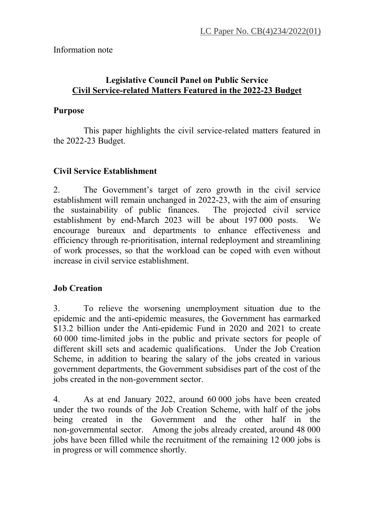## Information note

## **Legislative Council Panel on Public Service Civil Service-related Matters Featured in the 2022-23 Budget**

## **Purpose**

This paper highlights the civil service-related matters featured in the 2022-23 Budget.

# **Civil Service Establishment**

2. The Government's target of zero growth in the civil service establishment will remain unchanged in 2022-23, with the aim of ensuring the sustainability of public finances. The projected civil service establishment by end-March 2023 will be about 197 000 posts. We encourage bureaux and departments to enhance effectiveness and efficiency through re-prioritisation, internal redeployment and streamlining of work processes, so that the workload can be coped with even without increase in civil service establishment.

## **Job Creation**

3. To relieve the worsening unemployment situation due to the epidemic and the anti-epidemic measures, the Government has earmarked \$13.2 billion under the Anti-epidemic Fund in 2020 and 2021 to create 60 000 time-limited jobs in the public and private sectors for people of different skill sets and academic qualifications. Under the Job Creation Scheme, in addition to bearing the salary of the jobs created in various government departments, the Government subsidises part of the cost of the jobs created in the non-government sector.

4. As at end January 2022, around 60 000 jobs have been created under the two rounds of the Job Creation Scheme, with half of the jobs being created in the Government and the other half in the non-governmental sector. Among the jobs already created, around 48 000 jobs have been filled while the recruitment of the remaining 12 000 jobs is in progress or will commence shortly.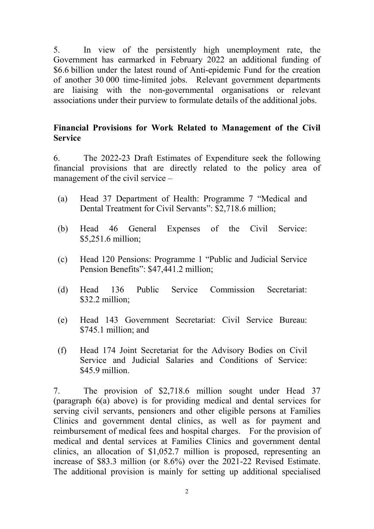5. In view of the persistently high unemployment rate, the Government has earmarked in February 2022 an additional funding of \$6.6 billion under the latest round of Anti-epidemic Fund for the creation of another 30 000 time-limited jobs. Relevant government departments are liaising with the non-governmental organisations or relevant associations under their purview to formulate details of the additional jobs.

#### **Financial Provisions for Work Related to Management of the Civil Service**

6. The 2022-23 Draft Estimates of Expenditure seek the following financial provisions that are directly related to the policy area of management of the civil service –

- (a) Head 37 Department of Health: Programme 7 "Medical and Dental Treatment for Civil Servants": \$2,718.6 million;
- (b) Head 46 General Expenses of the Civil Service: \$5,251.6 million:
- (c) Head 120 Pensions: Programme 1 "Public and Judicial Service Pension Benefits": \$47,441.2 million;
- (d) Head 136 Public Service Commission Secretariat: \$32.2 million;
- (e) Head 143 Government Secretariat: Civil Service Bureau: \$745.1 million; and
- (f) Head 174 Joint Secretariat for the Advisory Bodies on Civil Service and Judicial Salaries and Conditions of Service:  $$45.9$  million

7. The provision of \$2,718.6 million sought under Head 37 (paragraph 6(a) above) is for providing medical and dental services for serving civil servants, pensioners and other eligible persons at Families Clinics and government dental clinics, as well as for payment and reimbursement of medical fees and hospital charges. For the provision of medical and dental services at Families Clinics and government dental clinics, an allocation of \$1,052.7 million is proposed, representing an increase of \$83.3 million (or 8.6%) over the 2021-22 Revised Estimate. The additional provision is mainly for setting up additional specialised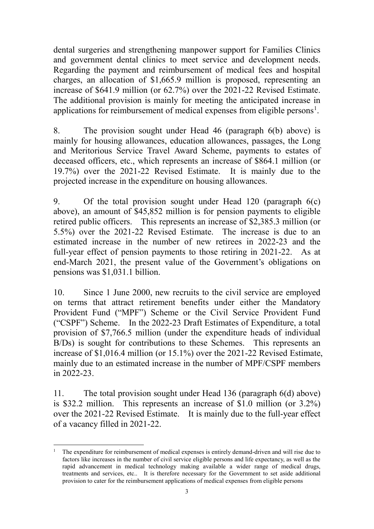dental surgeries and strengthening manpower support for Families Clinics and government dental clinics to meet service and development needs. Regarding the payment and reimbursement of medical fees and hospital charges, an allocation of \$1,665.9 million is proposed, representing an increase of \$641.9 million (or 62.7%) over the 2021-22 Revised Estimate. The additional provision is mainly for meeting the anticipated increase in applications for reimbursement of medical expenses from eligible persons<sup>[1](#page-2-0)</sup>.

8. The provision sought under Head 46 (paragraph 6(b) above) is mainly for housing allowances, education allowances, passages, the Long and Meritorious Service Travel Award Scheme, payments to estates of deceased officers, etc., which represents an increase of \$864.1 million (or 19.7%) over the 2021-22 Revised Estimate. It is mainly due to the projected increase in the expenditure on housing allowances.

9. Of the total provision sought under Head 120 (paragraph 6(c) above), an amount of \$45,852 million is for pension payments to eligible retired public officers. This represents an increase of \$2,385.3 million (or 5.5%) over the 2021-22 Revised Estimate. The increase is due to an estimated increase in the number of new retirees in 2022-23 and the full-year effect of pension payments to those retiring in 2021-22. As at end-March 2021, the present value of the Government's obligations on pensions was \$1,031.1 billion.

10. Since 1 June 2000, new recruits to the civil service are employed on terms that attract retirement benefits under either the Mandatory Provident Fund ("MPF") Scheme or the Civil Service Provident Fund ("CSPF") Scheme. In the 2022-23 Draft Estimates of Expenditure, a total provision of \$7,766.5 million (under the expenditure heads of individual B/Ds) is sought for contributions to these Schemes. This represents an increase of \$1,016.4 million (or 15.1%) over the 2021-22 Revised Estimate, mainly due to an estimated increase in the number of MPF/CSPF members in 2022-23.

11. The total provision sought under Head 136 (paragraph 6(d) above) is \$32.2 million. This represents an increase of \$1.0 million (or 3.2%) over the 2021-22 Revised Estimate. It is mainly due to the full-year effect of a vacancy filled in 2021-22.

<span id="page-2-0"></span> <sup>1</sup> The expenditure for reimbursement of medical expenses is entirely demand-driven and will rise due to factors like increases in the number of civil service eligible persons and life expectancy, as well as the rapid advancement in medical technology making available a wider range of medical drugs, treatments and services, etc.. It is therefore necessary for the Government to set aside additional provision to cater for the reimbursement applications of medical expenses from eligible persons